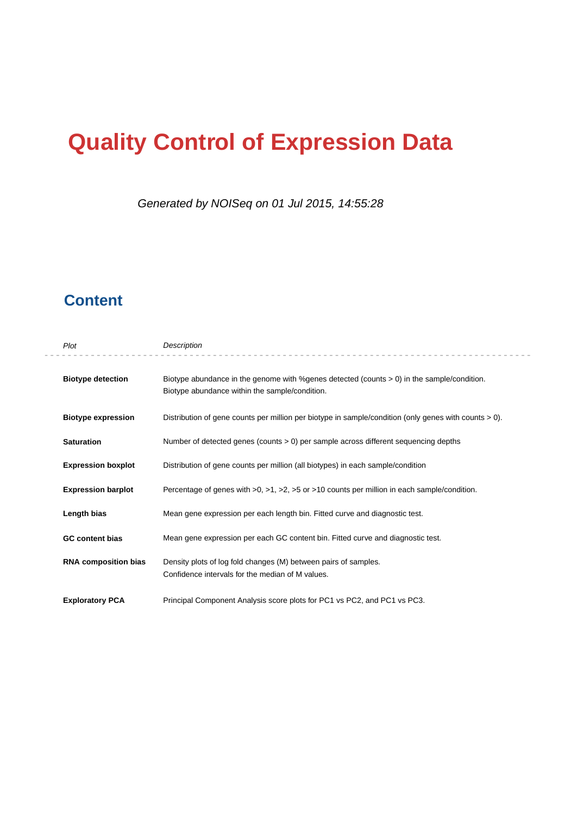# **Quality Control of Expression Data**

Generated by NOISeq on 01 Jul 2015, 14:55:28

### **Content**

| Plot                        | Description                                                                                                                                   |  |  |
|-----------------------------|-----------------------------------------------------------------------------------------------------------------------------------------------|--|--|
| <b>Biotype detection</b>    | Biotype abundance in the genome with % genes detected (counts > 0) in the sample/condition.<br>Biotype abundance within the sample/condition. |  |  |
| <b>Biotype expression</b>   | Distribution of gene counts per million per biotype in sample/condition (only genes with counts $> 0$ ).                                      |  |  |
| <b>Saturation</b>           | Number of detected genes (counts $> 0$ ) per sample across different sequencing depths                                                        |  |  |
| <b>Expression boxplot</b>   | Distribution of gene counts per million (all biotypes) in each sample/condition                                                               |  |  |
| <b>Expression barplot</b>   | Percentage of genes with $>0$ , $>1$ , $>2$ , $>5$ or $>10$ counts per million in each sample/condition.                                      |  |  |
| Length bias                 | Mean gene expression per each length bin. Fitted curve and diagnostic test.                                                                   |  |  |
| <b>GC content bias</b>      | Mean gene expression per each GC content bin. Fitted curve and diagnostic test.                                                               |  |  |
| <b>RNA composition bias</b> | Density plots of log fold changes (M) between pairs of samples.<br>Confidence intervals for the median of M values.                           |  |  |
| <b>Exploratory PCA</b>      | Principal Component Analysis score plots for PC1 vs PC2, and PC1 vs PC3.                                                                      |  |  |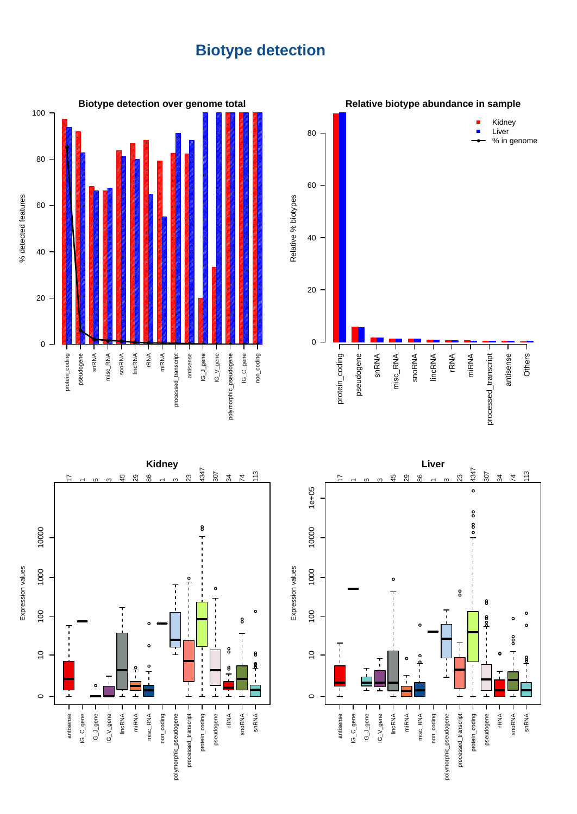## **Biotype detection**







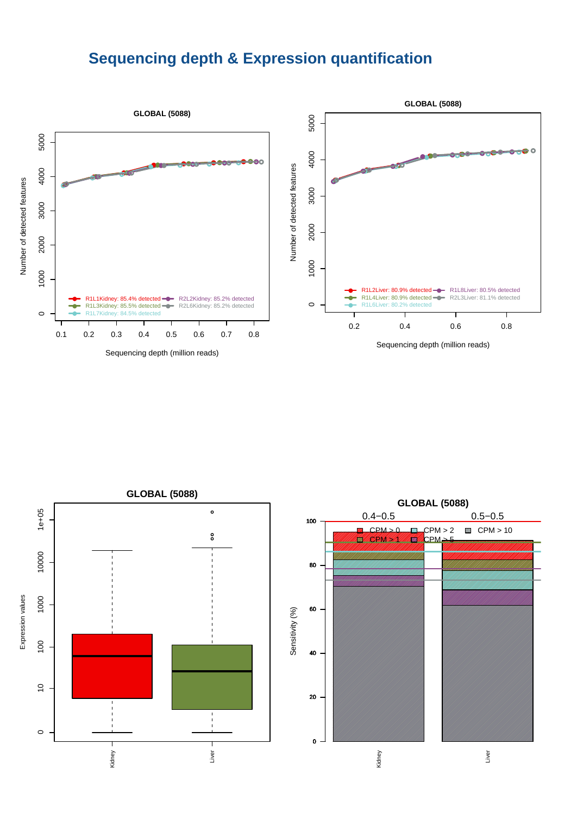### **Sequencing depth & Expression quantification**



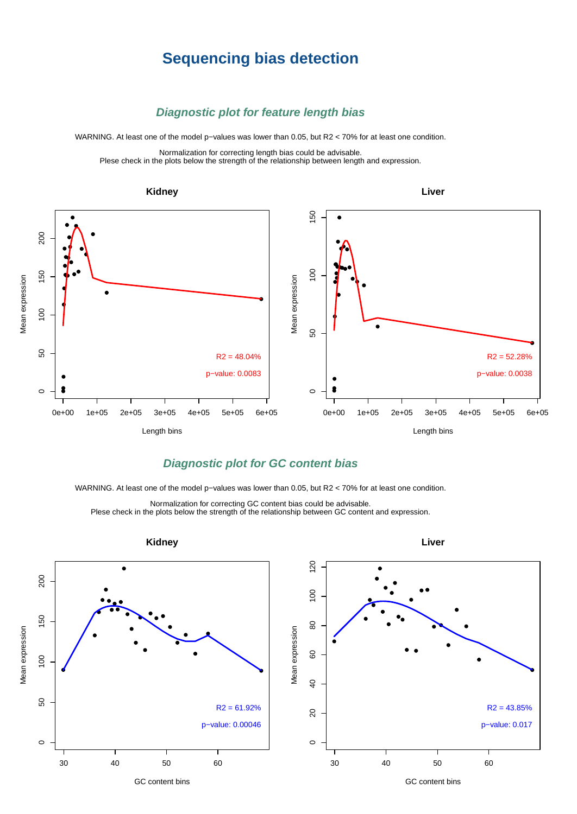### **Sequencing bias detection**

#### **Diagnostic plot for feature length bias**

WARNING. At least one of the model p−values was lower than 0.05, but R2 < 70% for at least one condition.

Normalization for correcting length bias could be advisable. Plese check in the plots below the strength of the relationship between length and expression.



### **Diagnostic plot for GC content bias**

WARNING. At least one of the model p−values was lower than 0.05, but R2 < 70% for at least one condition.

Normalization for correcting GC content bias could be advisable. Plese check in the plots below the strength of the relationship between GC content and expression.

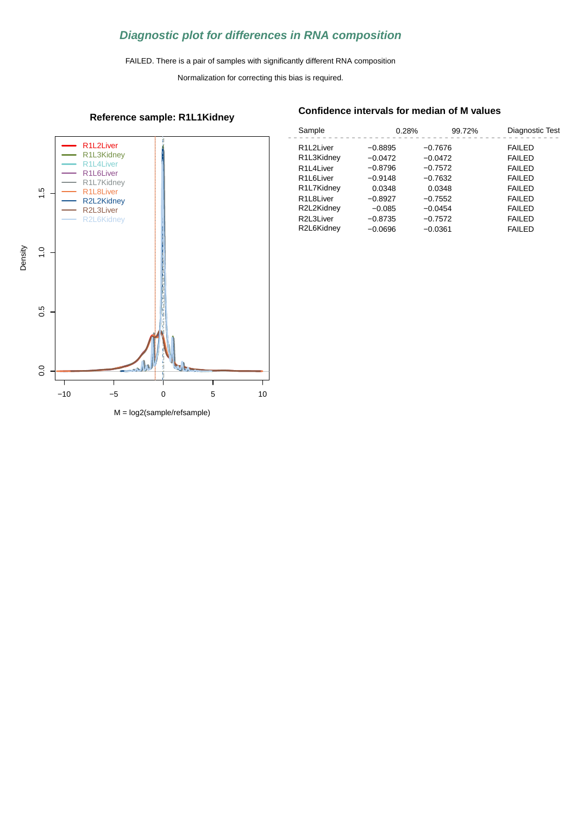### **Diagnostic plot for differences in RNA composition**

FAILED. There is a pair of samples with significantly different RNA composition

Normalization for correcting this bias is required.

### R1L2Liver R1L3Kidney R1L4Liver R1L6Liver R1L7Kidney  $1.5$ R1L8Liver 0.0 0.5 1.0 1.5 R2L2Kidney R2L3Liver R2L6Kidney Density  $\frac{0}{1}$ 0.5  $0.0$ −10 −5 0 5 10

**Reference sample: R1L1Kidney**

#### **Confidence intervals for median of M values**

| Sample                              | 0.28%     | 99.72%    | Diagnostic Test |
|-------------------------------------|-----------|-----------|-----------------|
| R <sub>1</sub> L <sub>2</sub> Liver | $-0.8895$ | $-0.7676$ | <b>FAILED</b>   |
| R1L3Kidney                          | $-0.0472$ | $-0.0472$ | <b>FAILED</b>   |
| R <sub>1</sub> L <sub>4</sub> Liver | $-0.8796$ | $-0.7572$ | <b>FAILED</b>   |
| R <sub>1</sub> L <sub>6</sub> Liver | $-0.9148$ | $-0.7632$ | <b>FAILED</b>   |
| R1L7Kidney                          | 0.0348    | 0.0348    | <b>FAILED</b>   |
| R <sub>1</sub> L <sub>8</sub> Liver | $-0.8927$ | $-0.7552$ | <b>FAILED</b>   |
| R2L2Kidney                          | $-0.085$  | $-0.0454$ | <b>FAILED</b>   |
| R2L3Liver                           | $-0.8735$ | $-0.7572$ | <b>FAILED</b>   |
| R2L6Kidney                          | $-0.0696$ | $-0.0361$ | <b>FAILED</b>   |
|                                     |           |           |                 |

M = log2(sample/refsample)